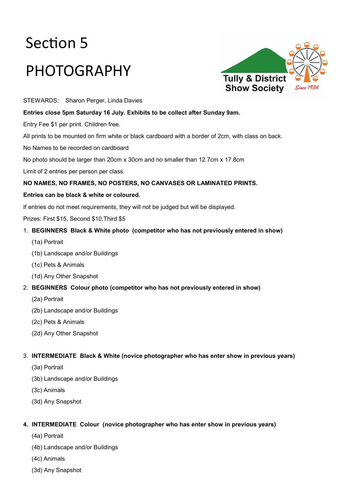# Section 5 PHOTOGRAPHY



STEWARDS: Sharon Perger, Linda Davies

### **Entries close 5pm Saturday 16 July. Exhibits to be collect after Sunday 9am.**

Entry Fee \$1 per print. Children free.

All prints to be mounted on firm white or black cardboard with a border of 2cm, with class on back.

No Names to be recorded on cardboard

No photo should be larger than 20cm x 30cm and no smaller than 12.7cm x 17.8cm

Limit of 2 entries per person per class.

### **NO NAMES, NO FRAMES, NO POSTERS, NO CANVASES OR LAMINATED PRINTS.**

#### **Entries can be black & white or coloured.**

If entries do not meet requirements, they will not be judged but will be displayed.

Prizes: First \$15, Second \$10,Third \$5

### 1. **BEGINNERS Black & White photo (competitor who has not previously entered in show)**

- (1a) Portrait
- (1b) Landscape and/or Buildings
- (1c) Pets & Animals
- (1d) Any Other Snapshot
- 2. **BEGINNERS Colour photo (competitor who has not previously entered in show)**
	- (2a) Portrait
	- (2b) Landscape and/or Buildings
	- (2c) Pets & Animals
	- (2d) Any Other Snapshot

### 3. **INTERMEDIATE Black & White (novice photographer who has enter show in previous years)**

- (3a) Portrait
- (3b) Landscape and/or Buildings
- (3c) Animals
- (3d) Any Snapshot

### **4. INTERMEDIATE Colour (novice photographer who has enter show in previous years)**

- (4a) Portrait
- (4b) Landscape and/or Buildings
- (4c) Animals
- (3d) Any Snapshot